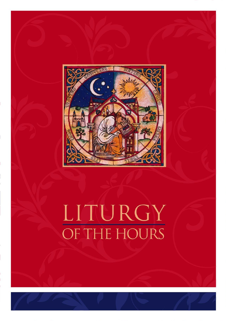

# LITURGY OF THE HOURS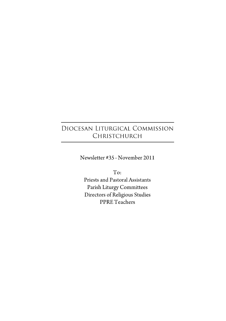#### DIOCESAN LITURGICAL COMMISSION CHRISTCHURCH

Newsletter #35 - November 2011

 $To:$ 

Priests and Pastoral Assistants Parish Liturgy Committees Directors of Religious Studies PPRE Teachers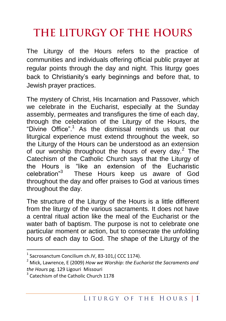## THE LITURGY OF THE HOURS

The Liturgy of the Hours refers to the practice of communities and individuals offering official public prayer at regular points through the day and night. This liturgy goes back to Christianity's early beginnings and before that, to Jewish prayer practices.

The mystery of Christ, His Incarnation and Passover, which we celebrate in the Eucharist, especially at the Sunday assembly, permeates and transfigures the time of each day, through the celebration of the Liturgy of the Hours, the "Divine Office".<sup>1</sup> As the dismissal reminds us that our liturgical experience must extend throughout the week, so the Liturgy of the Hours can be understood as an extension of our worship throughout the hours of every day. $2$  The Catechism of the Catholic Church says that the Liturgy of the Hours is "like an extension of the Eucharistic celebration"<sup>3</sup> These Hours keep us aware of God throughout the day and offer praises to God at various times throughout the day.

The structure of the Liturgy of the Hours is a little different from the liturgy of the various sacraments. It does not have a central ritual action like the meal of the Eucharist or the water bath of baptism. The purpose is not to celebrate one particular moment or action, but to consecrate the unfolding hours of each day to God. The shape of the Liturgy of the

 $\overline{a}$ 

 $^1$  Sacrosanctum Concilium ch.IV, 83-101,( CCC 1174).

<sup>2</sup> Mick, Lawrence, E (2009) *How we Worship: the Eucharist the Sacraments and the Hours* pg. 129 Ligouri Missouri

<sup>&</sup>lt;sup>3</sup> Catechism of the Catholic Church 1178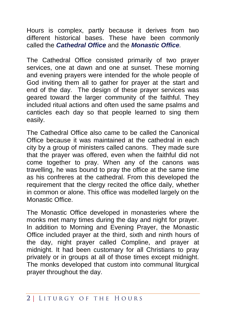Hours is complex, partly because it derives from two different historical bases. These have been commonly called the *Cathedral Office* and the *Monastic Office.*

The Cathedral Office consisted primarily of two prayer services, one at dawn and one at sunset. These morning and evening prayers were intended for the whole people of God inviting them all to gather for prayer at the start and end of the day. The design of these prayer services was geared toward the larger community of the faithful. They included ritual actions and often used the same psalms and canticles each day so that people learned to sing them easily.

The Cathedral Office also came to be called the Canonical Office because it was maintained at the cathedral in each city by a group of ministers called canons. They made sure that the prayer was offered, even when the faithful did not come together to pray. When any of the canons was travelling, he was bound to pray the office at the same time as his confreres at the cathedral. From this developed the requirement that the clergy recited the office daily, whether in common or alone. This office was modelled largely on the Monastic Office.

The Monastic Office developed in monasteries where the monks met many times during the day and night for prayer. In addition to Morning and Evening Prayer, the Monastic Office included prayer at the third, sixth and ninth hours of the day, night prayer called Compline, and prayer at midnight. It had been customary for all Christians to pray privately or in groups at all of those times except midnight. The monks developed that custom into communal liturgical prayer throughout the day.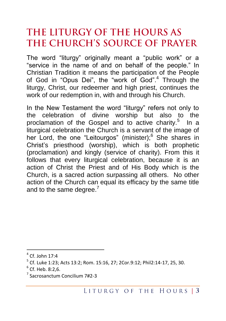#### THE LITURGY OF THE HOURS AS THE CHURCH'S SOURCE OF PRAYER

The word "liturgy" originally meant a "public work" or a "service in the name of and on behalf of the people." In Christian Tradition it means the participation of the People of God in "Opus Dei", the "work of God".<sup>4</sup> Through the liturgy, Christ, our redeemer and high priest, continues the work of our redemption in, with and through his Church.

In the New Testament the word "liturgy" refers not only to the celebration of divine worship but also to the proclamation of the Gospel and to active charity.<sup>5</sup> In a liturgical celebration the Church is a servant of the image of her Lord, the one "Leitourgos" (minister);<sup>6</sup> She shares in Christ's priesthood (worship), which is both prophetic (proclamation) and kingly (service of charity). From this it follows that every liturgical celebration, because it is an action of Christ the Priest and of His Body which is the Church, is a sacred action surpassing all others. No other action of the Church can equal its efficacy by the same title and to the same degree.<sup>7</sup>

 $\overline{a}$ 

 $^4$  Cf. John 17:4

<sup>&</sup>lt;sup>5</sup> Cf. Luke 1:23; Acts 13:2; Rom. 15:16, 27; 2Cor.9:12; Phil2:14-17, 25, 30.

 $^6$  Cf. Heb. 8:2,6.

<sup>7</sup> Sacrosanctum Concilium 7#2-3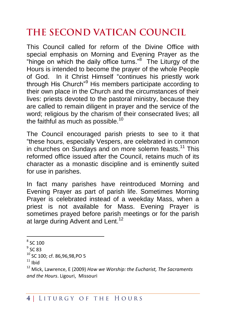## THE SECOND VATICAN COUNCIL

This Council called for reform of the Divine Office with special emphasis on Morning and Evening Prayer as the "hinge on which the daily office turns."<sup>8</sup> The Liturgy of the Hours is intended to become the prayer of the whole People of God. In it Christ Himself "continues his priestly work through His Church"<sup>9</sup> His members participate according to their own place in the Church and the circumstances of their lives: priests devoted to the pastoral ministry, because they are called to remain diligent in prayer and the service of the word; religious by the charism of their consecrated lives; all the faithful as much as possible.<sup>10</sup>

The Council encouraged parish priests to see to it that "these hours, especially Vespers, are celebrated in common in churches on Sundays and on more solemn feasts.<sup>11</sup> This reformed office issued after the Council, retains much of its character as a monastic discipline and is eminently suited for use in parishes.

In fact many parishes have reintroduced Morning and Evening Prayer as part of parish life. Sometimes Morning Prayer is celebrated instead of a weekday Mass, when a priest is not available for Mass. Evening Prayer is sometimes prayed before parish meetings or for the parish at large during Advent and Lent.<sup>12</sup>

 $\frac{1}{8}$  SC 100

 $^9$  SC 83

<sup>10</sup> SC 100; cf. 86,96,98,PO 5

 $11$  Ibid

<sup>12</sup> Mick, Lawrence, E (2009) *How we Worship: the Eucharist, The Sacraments and the Hours*. Ligouri, Missouri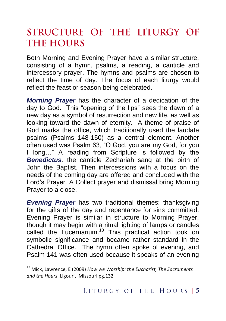### STRUCTURE OF THE LITURGY OF **THE HOURS**

Both Morning and Evening Prayer have a similar structure, consisting of a hymn, psalms, a reading, a canticle and intercessory prayer. The hymns and psalms are chosen to reflect the time of day. The focus of each liturgy would reflect the feast or season being celebrated.

*Morning Prayer* has the character of a dedication of the day to God. This "opening of the lips" sees the dawn of a new day as a symbol of resurrection and new life, as well as looking toward the dawn of eternity. A theme of praise of God marks the office, which traditionally used the laudate psalms (Psalms 148-150) as a central element. Another often used was Psalm 63, "O God, you are my God, for you I long…" A reading from Scripture is followed by the *Benedictus,* the canticle Zechariah sang at the birth of John the Baptist. Then intercessions with a focus on the needs of the coming day are offered and concluded with the Lord's Prayer. A Collect prayer and dismissal bring Morning Prayer to a close.

*Evening Prayer* has two traditional themes: thanksgiving for the gifts of the day and repentance for sins committed. Evening Prayer is similar in structure to Morning Prayer, though it may begin with a ritual lighting of lamps or candles called the Lucernarium.<sup>13</sup> This practical action took on symbolic significance and became rather standard in the Cathedral Office. The hymn often spoke of evening, and Psalm 141 was often used because it speaks of an evening

 $\overline{\phantom{a}}$ 

<sup>13</sup> Mick, Lawrence, E (2009) *How we Worship: the Eucharist, The Sacraments and the Hours*. Ligouri, Missouri pg.132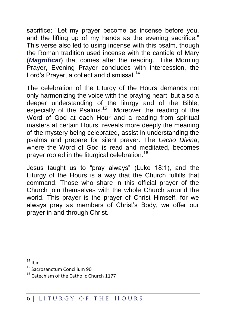sacrifice; "Let my prayer become as incense before you, and the lifting up of my hands as the evening sacrifice." This verse also led to using incense with this psalm, though the Roman tradition used incense with the canticle of Mary (*Magnificat*) that comes after the reading. Like Morning Prayer, Evening Prayer concludes with intercession, the Lord's Prayer, a collect and dismissal.<sup>14</sup>

The celebration of the Liturgy of the Hours demands not only harmonizing the voice with the praying heart, but also a deeper understanding of the liturgy and of the Bible, especially of the Psalms.<sup>15</sup> Moreover the reading of the Word of God at each Hour and a reading from spiritual masters at certain Hours, reveals more deeply the meaning of the mystery being celebrated, assist in understanding the psalms and prepare for silent prayer. The *Lectio Divina*, where the Word of God is read and meditated, becomes prayer rooted in the liturgical celebration.<sup>16</sup>

Jesus taught us to "pray always" (Luke 18:1), and the Liturgy of the Hours is a way that the Church fulfills that command. Those who share in this official prayer of the Church join themselves with the whole Church around the world. This prayer is the prayer of Christ Himself, for we always pray as members of Christ's Body, we offer our prayer in and through Christ.

 $\overline{\phantom{a}}$  $14$  Ibid

<sup>&</sup>lt;sup>15</sup> Sacrosanctum Concilium 90

<sup>&</sup>lt;sup>16</sup> Catechism of the Catholic Church 1177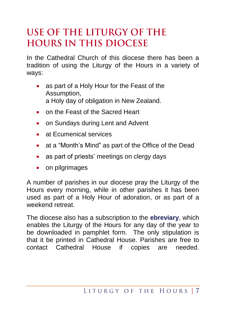## USE OF THE LITURGY OF THE **HOURS IN THIS DIOCESE**

In the Cathedral Church of this diocese there has been a tradition of using the Liturgy of the Hours in a variety of ways:

- as part of a Holy Hour for the Feast of the Assumption, a Holy day of obligation in New Zealand.
- on the Feast of the Sacred Heart
- on Sundays during Lent and Advent
- at Ecumenical services
- at a "Month's Mind" as part of the Office of the Dead
- as part of priests' meetings on clergy days
- on pilgrimages

A number of parishes in our diocese pray the Liturgy of the Hours every morning, while in other parishes it has been used as part of a Holy Hour of adoration, or as part of a weekend retreat.

The diocese also has a subscription to the **ebreviary**, which enables the Liturgy of the Hours for any day of the year to be downloaded in pamphlet form. The only stipulation is that it be printed in Cathedral House. Parishes are free to contact Cathedral House if copies are needed.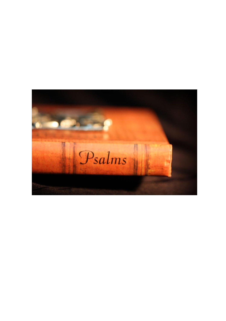